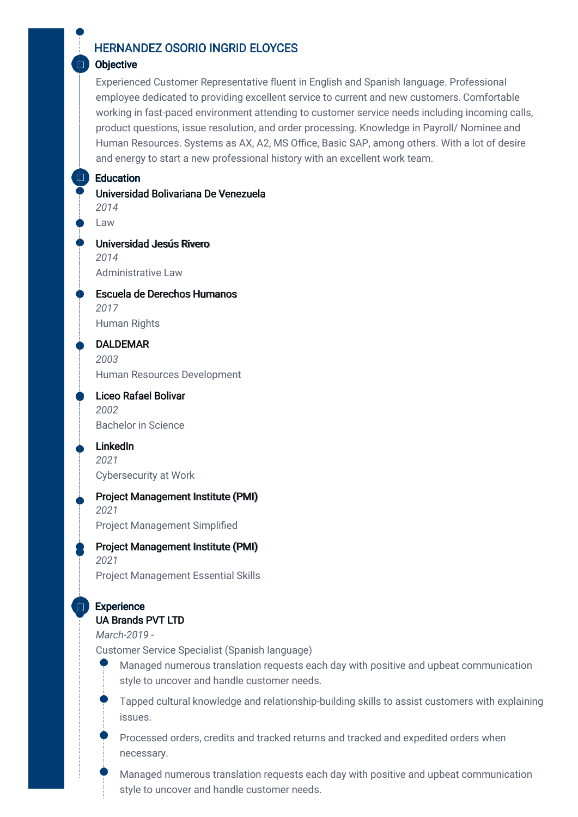# **HERNANDEZ OSORIO INGRID ELOYCES**

#### **Objective**

Experienced Customer Representative fluent in English and Spanish language. Professional employee dedicated to providing excellent service to current and new customers. Comfortable working in fast-paced environment attending to customer service needs including incoming calls, product questions, issue resolution, and order processing. Knowledge in Payroll/ Nominee and Human Resources. Systems as AX, A2, MS Office, Basic SAP, among others. With a lot of desire and energy to start a new professional history with an excellent work team.

#### **Education**

Universidad Bolivariana De Venezuela *2014*

Law

Universidad Jesús Rivero *2014* Administrative Law

Escuela de Derechos Humanos *2017* Human Rights

DALDEMAR *2003* Human Resources Development

Liceo Rafael Bolivar *2002* Bachelor in Science

LinkedIn *2021* Cybersecurity at Work

Project Management Institute (PMI) *2021* Project Management Simplified

Project Management Institute (PMI)

*2021* Project Management Essential Skills

#### **Experience** UA Brands PVT LTD

*March-2019 -*

Customer Service Specialist (Spanish language)



Tapped cultural knowledge and relationship-building skills to assist customers with explaining issues.

Processed orders, credits and tracked returns and tracked and expedited orders when necessary.

Managed numerous translation requests each day with positive and upbeat communication style to uncover and handle customer needs.